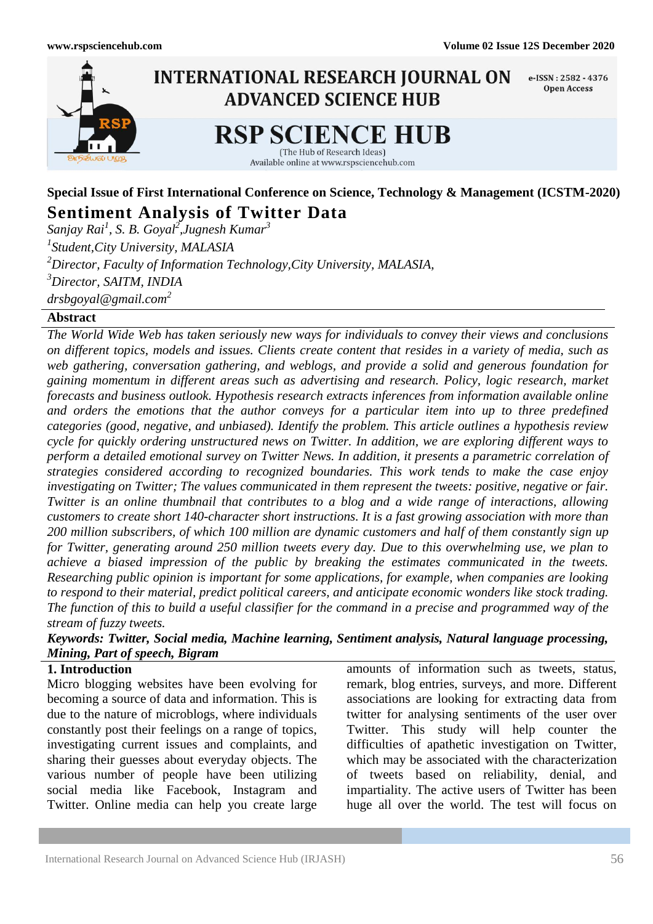

# **Special Issue of First International Conference on Science, Technology & Management (ICSTM-2020) Sentiment Analysis of Twitter Data**

*Sanjay Rai<sup>1</sup> , S. B. Goyal<sup>2</sup> ,Jugnesh Kumar<sup>3</sup> 1 Student,City University, MALASIA <sup>2</sup>Director, Faculty of Information Technology,City University, MALASIA, <sup>3</sup>Director, SAITM, INDIA drsbgoyal@gmail.com<sup>2</sup>*

#### **Abstract**

*The World Wide Web has taken seriously new ways for individuals to convey their views and conclusions on different topics, models and issues. Clients create content that resides in a variety of media, such as web gathering, conversation gathering, and weblogs, and provide a solid and generous foundation for gaining momentum in different areas such as advertising and research. Policy, logic research, market forecasts and business outlook. Hypothesis research extracts inferences from information available online and orders the emotions that the author conveys for a particular item into up to three predefined categories (good, negative, and unbiased). Identify the problem. This article outlines a hypothesis review cycle for quickly ordering unstructured news on Twitter. In addition, we are exploring different ways to perform a detailed emotional survey on Twitter News. In addition, it presents a parametric correlation of strategies considered according to recognized boundaries. This work tends to make the case enjoy investigating on Twitter; The values communicated in them represent the tweets: positive, negative or fair. Twitter is an online thumbnail that contributes to a blog and a wide range of interactions, allowing customers to create short 140-character short instructions. It is a fast growing association with more than 200 million subscribers, of which 100 million are dynamic customers and half of them constantly sign up for Twitter, generating around 250 million tweets every day. Due to this overwhelming use, we plan to achieve a biased impression of the public by breaking the estimates communicated in the tweets. Researching public opinion is important for some applications, for example, when companies are looking to respond to their material, predict political careers, and anticipate economic wonders like stock trading. The function of this to build a useful classifier for the command in a precise and programmed way of the stream of fuzzy tweets.*

*Keywords: Twitter, Social media, Machine learning, Sentiment analysis, Natural language processing, Mining, Part of speech, Bigram*

### **1. Introduction**

Micro blogging websites have been evolving for becoming a source of data and information. This is due to the nature of microblogs, where individuals constantly post their feelings on a range of topics, investigating current issues and complaints, and sharing their guesses about everyday objects. The various number of people have been utilizing social media like Facebook, Instagram and Twitter. Online media can help you create large

amounts of information such as tweets, status, remark, blog entries, surveys, and more. Different associations are looking for extracting data from twitter for analysing sentiments of the user over Twitter. This study will help counter the difficulties of apathetic investigation on Twitter, which may be associated with the characterization of tweets based on reliability, denial, and impartiality. The active users of Twitter has been huge all over the world. The test will focus on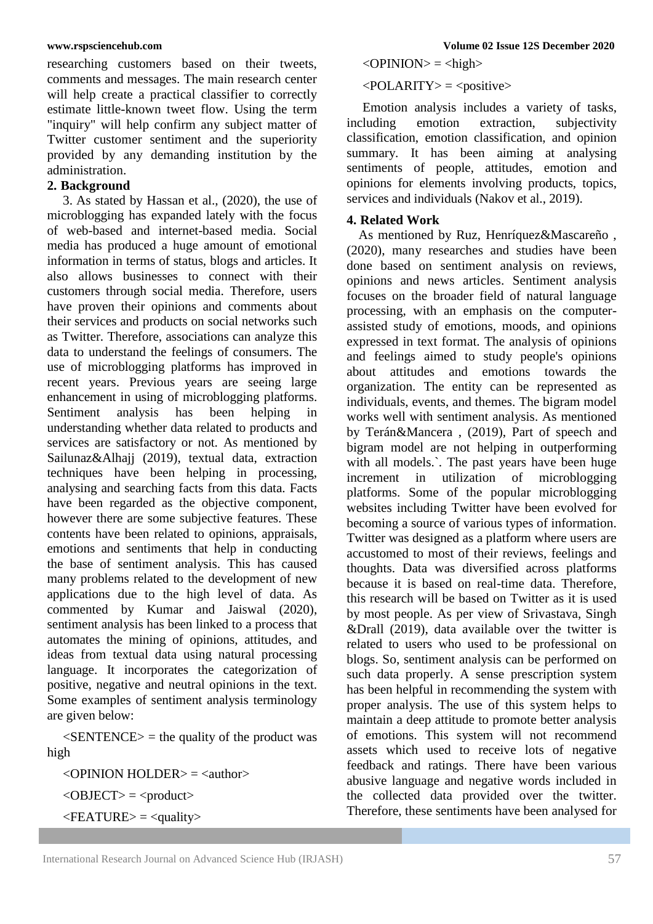researching customers based on their tweets, comments and messages. The main research center will help create a practical classifier to correctly estimate little-known tweet flow. Using the term "inquiry" will help confirm any subject matter of Twitter customer sentiment and the superiority provided by any demanding institution by the administration.

#### **2. Background**

3. As stated by Hassan et al., (2020), the use of microblogging has expanded lately with the focus of web-based and internet-based media. Social media has produced a huge amount of emotional information in terms of status, blogs and articles. It also allows businesses to connect with their customers through social media. Therefore, users have proven their opinions and comments about their services and products on social networks such as Twitter. Therefore, associations can analyze this data to understand the feelings of consumers. The use of microblogging platforms has improved in recent years. Previous years are seeing large enhancement in using of microblogging platforms. Sentiment analysis has been helping in understanding whether data related to products and services are satisfactory or not. As mentioned by Sailunaz&Alhajj (2019), textual data, extraction techniques have been helping in processing, analysing and searching facts from this data. Facts have been regarded as the objective component, however there are some subjective features. These contents have been related to opinions, appraisals, emotions and sentiments that help in conducting the base of sentiment analysis. This has caused many problems related to the development of new applications due to the high level of data. As commented by Kumar and Jaiswal (2020), sentiment analysis has been linked to a process that automates the mining of opinions, attitudes, and ideas from textual data using natural processing language. It incorporates the categorization of positive, negative and neutral opinions in the text. Some examples of sentiment analysis terminology are given below:

 $\leq$ SENTENCE $>$  = the quality of the product was high

 $\langle$ OPINION HOLDER $>$  =  $\langle$ author $>$  $<$ OBJECT $>$  =  $<$ product $>$  $\leq$ FEATURE $>$  =  $\leq$ quality $>$ 

 $\langle$ OPINION $\rangle$  =  $\langle$ high $\rangle$ 

#### $\langle \text{POLARITY} \rangle = \langle \text{positive} \rangle$

Emotion analysis includes a variety of tasks,<br>cluding emotion extraction, subjectivity including emotion extraction, subjectivity classification, emotion classification, and opinion summary. It has been aiming at analysing sentiments of people, attitudes, emotion and opinions for elements involving products, topics, services and individuals (Nakov et al., 2019).

#### **4. Related Work**

As mentioned by Ruz, Henríquez&Mascareño , (2020), many researches and studies have been done based on sentiment analysis on reviews, opinions and news articles. Sentiment analysis focuses on the broader field of natural language processing, with an emphasis on the computerassisted study of emotions, moods, and opinions expressed in text format. The analysis of opinions and feelings aimed to study people's opinions about attitudes and emotions towards the organization. The entity can be represented as individuals, events, and themes. The bigram model works well with sentiment analysis. As mentioned by Terán&Mancera , (2019), Part of speech and bigram model are not helping in outperforming with all models.`. The past years have been huge increment in utilization of microblogging platforms. Some of the popular microblogging websites including Twitter have been evolved for becoming a source of various types of information. Twitter was designed as a platform where users are accustomed to most of their reviews, feelings and thoughts. Data was diversified across platforms because it is based on real-time data. Therefore, this research will be based on Twitter as it is used by most people. As per view of Srivastava, Singh &Drall (2019), data available over the twitter is related to users who used to be professional on blogs. So, sentiment analysis can be performed on such data properly. A sense prescription system has been helpful in recommending the system with proper analysis. The use of this system helps to maintain a deep attitude to promote better analysis of emotions. This system will not recommend assets which used to receive lots of negative feedback and ratings. There have been various abusive language and negative words included in the collected data provided over the twitter. Therefore, these sentiments have been analysed for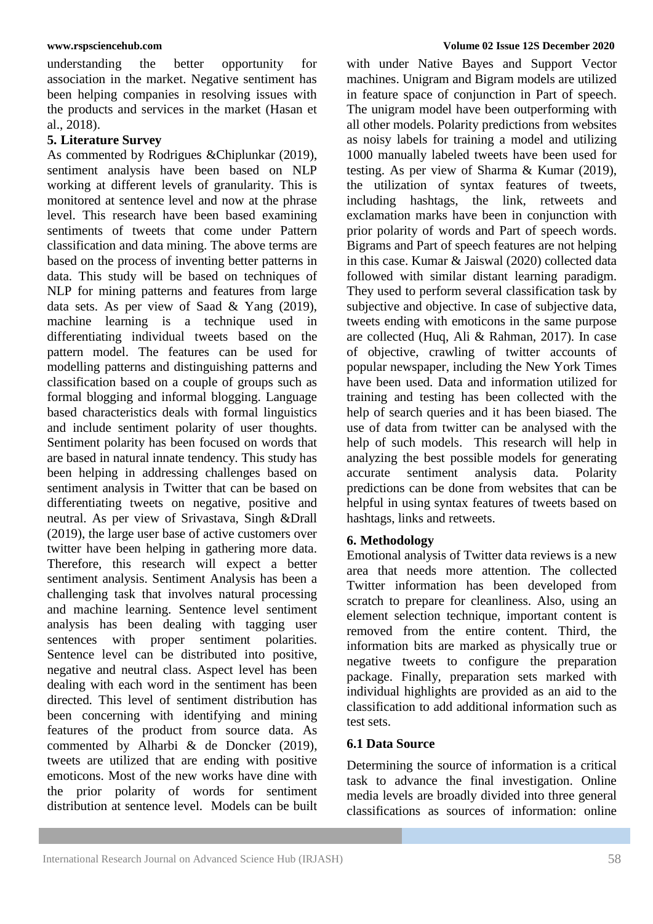understanding the better opportunity for association in the market. Negative sentiment has been helping companies in resolving issues with the products and services in the market (Hasan et al., 2018).

### **5. Literature Survey**

As commented by Rodrigues &Chiplunkar (2019), sentiment analysis have been based on NLP working at different levels of granularity. This is monitored at sentence level and now at the phrase level. This research have been based examining sentiments of tweets that come under Pattern classification and data mining. The above terms are based on the process of inventing better patterns in data. This study will be based on techniques of NLP for mining patterns and features from large data sets. As per view of Saad & Yang (2019), machine learning is a technique used in differentiating individual tweets based on the pattern model. The features can be used for modelling patterns and distinguishing patterns and classification based on a couple of groups such as formal blogging and informal blogging. Language based characteristics deals with formal linguistics and include sentiment polarity of user thoughts. Sentiment polarity has been focused on words that are based in natural innate tendency. This study has been helping in addressing challenges based on sentiment analysis in Twitter that can be based on differentiating tweets on negative, positive and neutral. As per view of Srivastava, Singh &Drall (2019), the large user base of active customers over twitter have been helping in gathering more data. Therefore, this research will expect a better sentiment analysis. Sentiment Analysis has been a challenging task that involves natural processing and machine learning. Sentence level sentiment analysis has been dealing with tagging user sentences with proper sentiment polarities. Sentence level can be distributed into positive, negative and neutral class. Aspect level has been dealing with each word in the sentiment has been directed. This level of sentiment distribution has been concerning with identifying and mining features of the product from source data. As commented by Alharbi & de Doncker (2019), tweets are utilized that are ending with positive emoticons. Most of the new works have dine with the prior polarity of words for sentiment distribution at sentence level. Models can be built

#### **www.rspsciencehub.com Volume 02 Issue 12S December 2020**

with under Native Bayes and Support Vector machines. Unigram and Bigram models are utilized in feature space of conjunction in Part of speech. The unigram model have been outperforming with all other models. Polarity predictions from websites as noisy labels for training a model and utilizing 1000 manually labeled tweets have been used for testing. As per view of Sharma & Kumar (2019), the utilization of syntax features of tweets, including hashtags, the link, retweets and exclamation marks have been in conjunction with prior polarity of words and Part of speech words. Bigrams and Part of speech features are not helping in this case. Kumar & Jaiswal (2020) collected data followed with similar distant learning paradigm. They used to perform several classification task by subjective and objective. In case of subjective data, tweets ending with emoticons in the same purpose are collected (Huq, Ali & Rahman, 2017). In case of objective, crawling of twitter accounts of popular newspaper, including the New York Times have been used. Data and information utilized for training and testing has been collected with the help of search queries and it has been biased. The use of data from twitter can be analysed with the help of such models. This research will help in analyzing the best possible models for generating accurate sentiment analysis data. Polarity predictions can be done from websites that can be helpful in using syntax features of tweets based on hashtags, links and retweets.

#### **6. Methodology**

Emotional analysis of Twitter data reviews is a new area that needs more attention. The collected Twitter information has been developed from scratch to prepare for cleanliness. Also, using an element selection technique, important content is removed from the entire content. Third, the information bits are marked as physically true or negative tweets to configure the preparation package. Finally, preparation sets marked with individual highlights are provided as an aid to the classification to add additional information such as test sets.

#### **6.1 Data Source**

Determining the source of information is a critical task to advance the final investigation. Online media levels are broadly divided into three general classifications as sources of information: online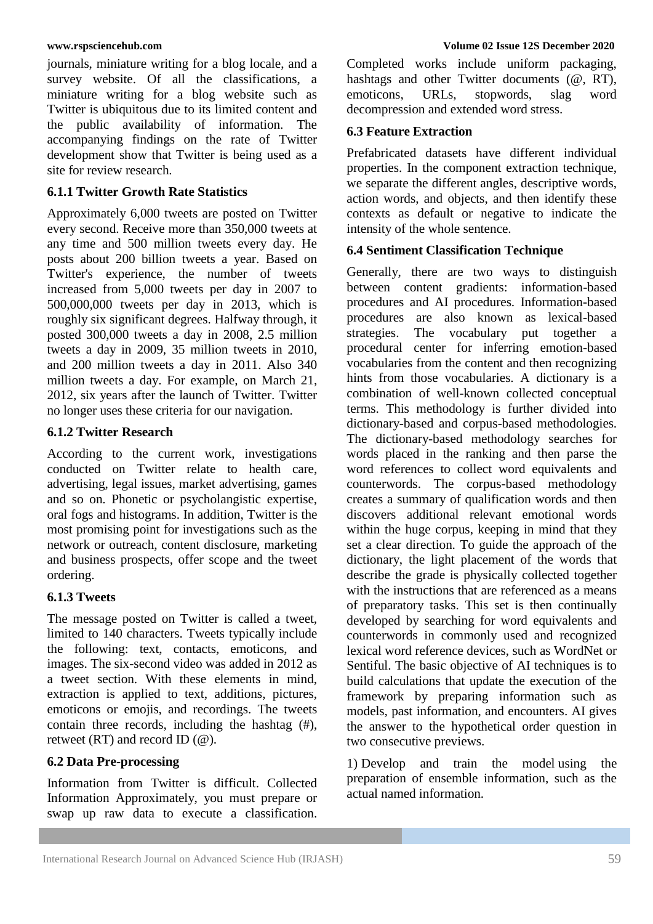journals, miniature writing for a blog locale, and a survey website. Of all the classifications, a miniature writing for a blog website such as Twitter is ubiquitous due to its limited content and the public availability of information. The accompanying findings on the rate of Twitter development show that Twitter is being used as a site for review research.

#### **6.1.1 Twitter Growth Rate Statistics**

Approximately 6,000 tweets are posted on Twitter every second. Receive more than 350,000 tweets at any time and 500 million tweets every day. He posts about 200 billion tweets a year. Based on Twitter's experience, the number of tweets increased from 5,000 tweets per day in 2007 to 500,000,000 tweets per day in 2013, which is roughly six significant degrees. Halfway through, it posted 300,000 tweets a day in 2008, 2.5 million tweets a day in 2009, 35 million tweets in 2010, and 200 million tweets a day in 2011. Also 340 million tweets a day. For example, on March 21, 2012, six years after the launch of Twitter. Twitter no longer uses these criteria for our navigation.

#### **6.1.2 Twitter Research**

According to the current work, investigations conducted on Twitter relate to health care, advertising, legal issues, market advertising, games and so on. Phonetic or psycholangistic expertise, oral fogs and histograms. In addition, Twitter is the most promising point for investigations such as the network or outreach, content disclosure, marketing and business prospects, offer scope and the tweet ordering.

#### **6.1.3 Tweets**

The message posted on Twitter is called a tweet, limited to 140 characters. Tweets typically include the following: text, contacts, emoticons, and images. The six-second video was added in 2012 as a tweet section. With these elements in mind, extraction is applied to text, additions, pictures, emoticons or emojis, and recordings. The tweets contain three records, including the hashtag (#), retweet  $(RT)$  and record ID  $(\omega)$ .

### **6.2 Data Pre-processing**

Information from Twitter is difficult. Collected Information Approximately, you must prepare or swap up raw data to execute a classification.

Completed works include uniform packaging, hashtags and other Twitter documents ( $@$ , RT), emoticons, URLs, stopwords, slag word decompression and extended word stress.

#### **6.3 Feature Extraction**

Prefabricated datasets have different individual properties. In the component extraction technique, we separate the different angles, descriptive words, action words, and objects, and then identify these contexts as default or negative to indicate the intensity of the whole sentence.

#### **6.4 Sentiment Classification Technique**

Generally, there are two ways to distinguish between content gradients: information-based procedures and AI procedures. Information-based procedures are also known as lexical-based strategies. The vocabulary put together a procedural center for inferring emotion-based vocabularies from the content and then recognizing hints from those vocabularies. A dictionary is a combination of well-known collected conceptual terms. This methodology is further divided into dictionary-based and corpus-based methodologies. The dictionary-based methodology searches for words placed in the ranking and then parse the word references to collect word equivalents and counterwords. The corpus-based methodology creates a summary of qualification words and then discovers additional relevant emotional words within the huge corpus, keeping in mind that they set a clear direction. To guide the approach of the dictionary, the light placement of the words that describe the grade is physically collected together with the instructions that are referenced as a means of preparatory tasks. This set is then continually developed by searching for word equivalents and counterwords in commonly used and recognized lexical word reference devices, such as WordNet or Sentiful. The basic objective of AI techniques is to build calculations that update the execution of the framework by preparing information such as models, past information, and encounters. AI gives the answer to the hypothetical order question in two consecutive previews.

1) Develop and train the model using the preparation of ensemble information, such as the actual named information.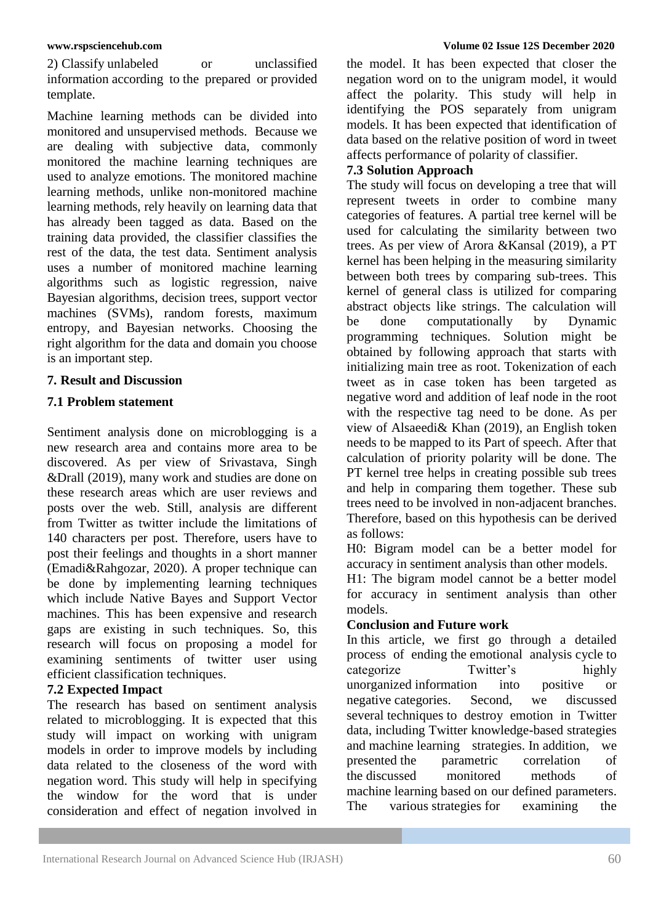2) Classify unlabeled or unclassified information according to the prepared or provided template.

Machine learning methods can be divided into monitored and unsupervised methods. Because we are dealing with subjective data, commonly monitored the machine learning techniques are used to analyze emotions. The monitored machine learning methods, unlike non-monitored machine learning methods, rely heavily on learning data that has already been tagged as data. Based on the training data provided, the classifier classifies the rest of the data, the test data. Sentiment analysis uses a number of monitored machine learning algorithms such as logistic regression, naive Bayesian algorithms, decision trees, support vector machines (SVMs), random forests, maximum entropy, and Bayesian networks. Choosing the right algorithm for the data and domain you choose is an important step.

### **7. Result and Discussion**

# **7.1 Problem statement**

Sentiment analysis done on microblogging is a new research area and contains more area to be discovered. As per view of Srivastava, Singh &Drall (2019), many work and studies are done on these research areas which are user reviews and posts over the web. Still, analysis are different from Twitter as twitter include the limitations of 140 characters per post. Therefore, users have to post their feelings and thoughts in a short manner (Emadi&Rahgozar, 2020). A proper technique can be done by implementing learning techniques which include Native Bayes and Support Vector machines. This has been expensive and research gaps are existing in such techniques. So, this research will focus on proposing a model for examining sentiments of twitter user using efficient classification techniques.

### **7.2 Expected Impact**

The research has based on sentiment analysis related to microblogging. It is expected that this study will impact on working with unigram models in order to improve models by including data related to the closeness of the word with negation word. This study will help in specifying the window for the word that is under consideration and effect of negation involved in the model. It has been expected that closer the negation word on to the unigram model, it would affect the polarity. This study will help in identifying the POS separately from unigram models. It has been expected that identification of data based on the relative position of word in tweet affects performance of polarity of classifier.

# **7.3 Solution Approach**

The study will focus on developing a tree that will represent tweets in order to combine many categories of features. A partial tree kernel will be used for calculating the similarity between two trees. As per view of Arora &Kansal (2019), a PT kernel has been helping in the measuring similarity between both trees by comparing sub-trees. This kernel of general class is utilized for comparing abstract objects like strings. The calculation will be done computationally by Dynamic programming techniques. Solution might be obtained by following approach that starts with initializing main tree as root. Tokenization of each tweet as in case token has been targeted as negative word and addition of leaf node in the root with the respective tag need to be done. As per view of Alsaeedi& Khan (2019), an English token needs to be mapped to its Part of speech. After that calculation of priority polarity will be done. The PT kernel tree helps in creating possible sub trees and help in comparing them together. These sub trees need to be involved in non-adjacent branches. Therefore, based on this hypothesis can be derived as follows:

H0: Bigram model can be a better model for accuracy in sentiment analysis than other models.

H1: The bigram model cannot be a better model for accuracy in sentiment analysis than other models.

### **Conclusion and Future work**

In this article, we first go through a detailed process of ending the emotional analysis cycle to categorize Twitter's highly unorganized information into positive or negative categories. Second, we discussed several techniques to destroy emotion in Twitter data, including Twitter knowledge-based strategies and machine learning strategies. In addition, we presented the parametric correlation of the discussed monitored methods of machine learning based on our defined parameters. The various strategies for examining the